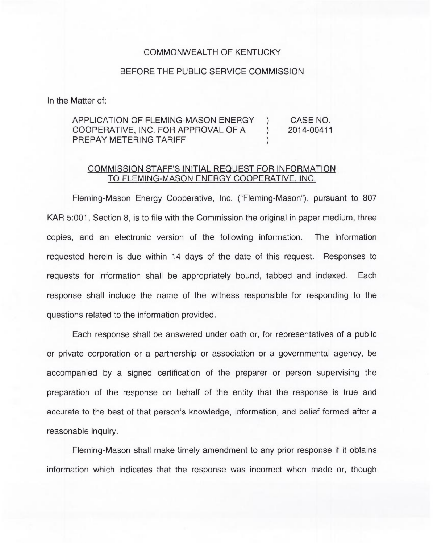## COMMONWEALTH OF KENTUCKY

## BEFORE THE PUBLIC SERVICE COMMISSION

In the Matter of:

## APPLICATION OF FLEMING-MASON ENERGY ) CASE NO.<br>COOPERATIVE. INC. FOR APPROVAL OF A ) 2014-00411 COOPERATIVE, INC. FOR APPROVAL OF A PREPAY METERING TARIFF )

## COMMISSION STAFF'S INITIAL REQUEST FOR INFORMATION TO FLEMING-MASON ENERGY COOPERATIVE, INC.

Fleming-Mason Energy Cooperative, Inc. ("Fleming-Mason"), pursuant to 807 KAR 5:001, Section 8, is to file with the Commission the original in paper medium, three copies, and an electronic version of the following information. The information requested herein is due within 14 days of the date of this request. Responses to requests for information shall be appropriately bound, tabbed and indexed. Each response shall include the name of the witness responsible for responding to the questions related to the information provided.

Each response shall be answered under oath or, for representatives of a public or private corporation or a partnership or association or a governmental agency, be accompanied by a signed certification of the preparer or person supervising the preparation of the response on behalf of the entity that the response is true and accurate to the best of that person's knowledge, information, and belief formed after a reasonable inquiry.

Fleming-Mason shall make timely amendment to any prior response if it obtains information which indicates that the response was incorrect when made or, though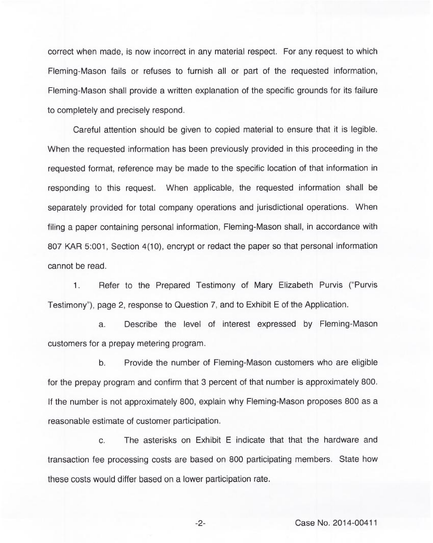correct when made, is now incorrect in any material respect. For any request to which Fleming-Mason fails or refuses to furnish all or part of the requested information, Fleming-Mason shall provide a written explanation of the specific grounds for its failure to completely and precisely respond.

Careful attention should be given to copied material to ensure that it is legible. When the requested information has been previously provided in this proceeding in the requested format, reference may be made to the specific location of that information in responding to this request. When applicable, the requested information shall be separately provided for total company operations and jurisdictional operations. When filing a paper containing personal information, Fleming-Mason shall, in accordance with 807 KAR 5:001, Section 4(10), encrypt or redact the paper so that personal information cannot be read.

1. Refer to the Prepared Testimony of Mary Elizabeth Purvis ("Purvis Testimony"), page 2, response to Question 7, and to Exhibit E of the Application.

a. Describe the level of interest expressed by Fleming-Mason customers for a prepay metering program.

b. Provide the number of Fleming-Mason customers who are eligible for the prepay program and confirm that 3 percent of that number is approximately 800. If the number is not approximately 800, explain why Fleming-Mason proposes 800 as a reasonable estimate of customer participation.

c. The asterisks on Exhibit E indicate that that the hardware and transaction fee processing costs are based on 800 participating members. State how these costs would differ based on a lower participation rate.

-2- Case No. 2014-00411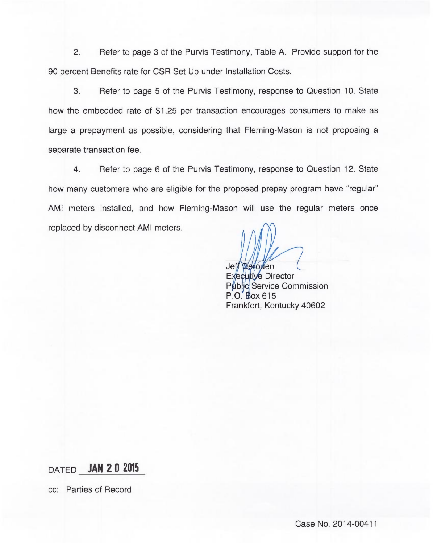2. Refer to page 3 of the Purvis Testimony, Table A. Provide support for the 90 percent Benefits rate for CSR Set Up under Installation Costs.

3. Refer to page 5 of the Purvis Testimony, response to Question 10. State how the embedded rate of \$1.25 per transaction encourages consumers to make as large a prepayment as possible, considering that Fleming-Mason is not proposing a separate transaction fee.

4. Refer to page 6 of the Purvis Testimony, response to Question 12. State how many customers who are eligible for the proposed prepay program have "regular" AMI meters installed, and how Fleming-Mason will use the regular meters once replaced by disconnect AMI meters.

Jeff **Defouer** 

Executive Directo Pµblic Service Commissic P.O. Box 615 Frankfort, Kentucky 40602

DATED JAN 20 2015

cc: Parties of Record